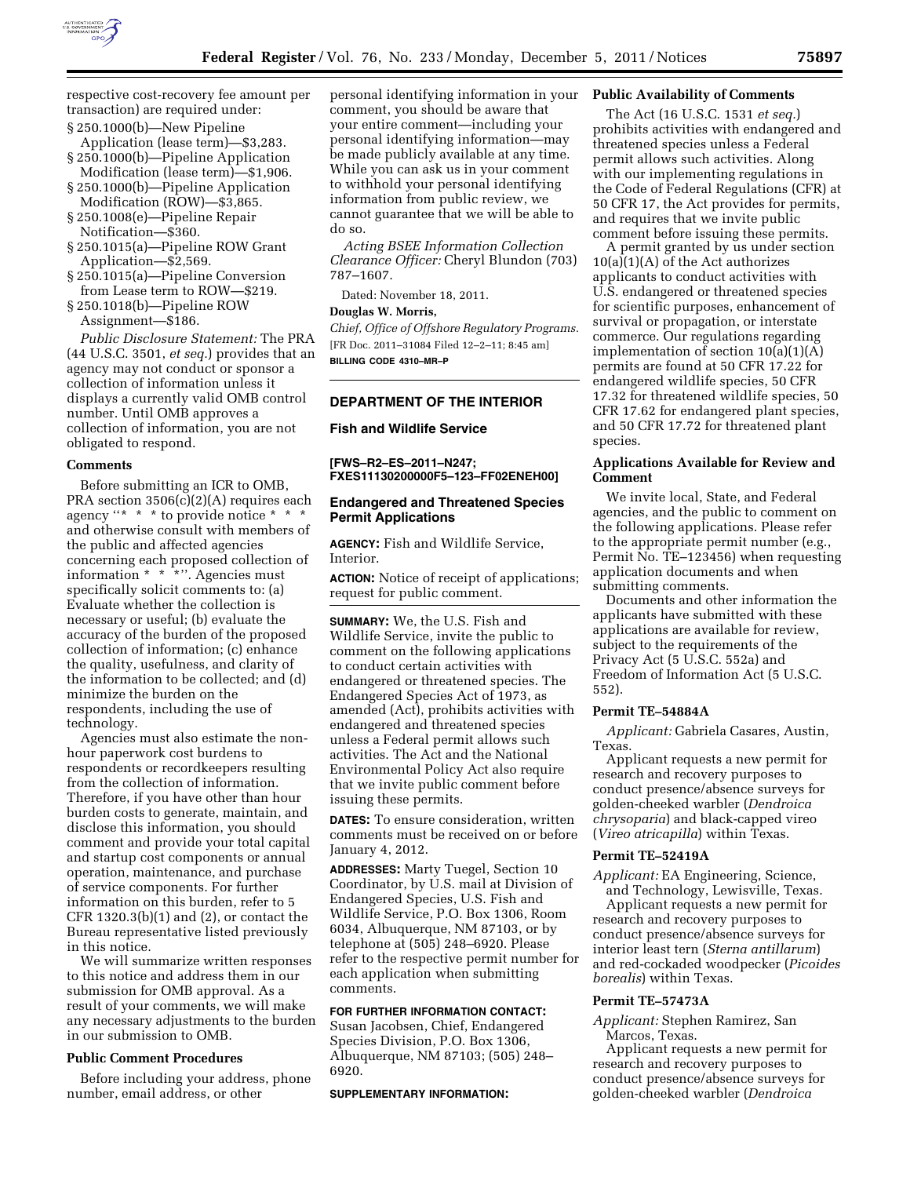

respective cost-recovery fee amount per transaction) are required under:

- § 250.1000(b)—New Pipeline Application (lease term)—\$3,283.
- § 250.1000(b)—Pipeline Application
- Modification (lease term)—\$1,906. § 250.1000(b)—Pipeline Application
- Modification (ROW)—\$3,865. § 250.1008(e)—Pipeline Repair
- Notification—\$360. § 250.1015(a)—Pipeline ROW Grant
- Application—\$2,569.
- § 250.1015(a)—Pipeline Conversion from Lease term to ROW—\$219.
- § 250.1018(b)—Pipeline ROW Assignment—\$186.

*Public Disclosure Statement:* The PRA (44 U.S.C. 3501, *et seq.*) provides that an agency may not conduct or sponsor a collection of information unless it displays a currently valid OMB control number. Until OMB approves a collection of information, you are not obligated to respond.

#### **Comments**

Before submitting an ICR to OMB, PRA section 3506(c)(2)(A) requires each agency ''\* \* \* to provide notice \* \* \* and otherwise consult with members of the public and affected agencies concerning each proposed collection of information \* \* \*''. Agencies must specifically solicit comments to: (a) Evaluate whether the collection is necessary or useful; (b) evaluate the accuracy of the burden of the proposed collection of information; (c) enhance the quality, usefulness, and clarity of the information to be collected; and (d) minimize the burden on the respondents, including the use of technology.

Agencies must also estimate the nonhour paperwork cost burdens to respondents or recordkeepers resulting from the collection of information. Therefore, if you have other than hour burden costs to generate, maintain, and disclose this information, you should comment and provide your total capital and startup cost components or annual operation, maintenance, and purchase of service components. For further information on this burden, refer to 5 CFR 1320.3(b)(1) and (2), or contact the Bureau representative listed previously in this notice.

We will summarize written responses to this notice and address them in our submission for OMB approval. As a result of your comments, we will make any necessary adjustments to the burden in our submission to OMB.

#### **Public Comment Procedures**

Before including your address, phone number, email address, or other

personal identifying information in your comment, you should be aware that your entire comment—including your personal identifying information—may be made publicly available at any time. While you can ask us in your comment to withhold your personal identifying information from public review, we cannot guarantee that we will be able to do so.

*Acting BSEE Information Collection Clearance Officer:* Cheryl Blundon (703) 787–1607.

Dated: November 18, 2011.

# **Douglas W. Morris,**

*Chief, Office of Offshore Regulatory Programs.*  [FR Doc. 2011–31084 Filed 12–2–11; 8:45 am] **BILLING CODE 4310–MR–P** 

## **DEPARTMENT OF THE INTERIOR**

### **Fish and Wildlife Service**

**[FWS–R2–ES–2011–N247; FXES11130200000F5–123–FF02ENEH00]** 

### **Endangered and Threatened Species Permit Applications**

**AGENCY:** Fish and Wildlife Service, Interior.

**ACTION:** Notice of receipt of applications; request for public comment.

**SUMMARY:** We, the U.S. Fish and Wildlife Service, invite the public to comment on the following applications to conduct certain activities with endangered or threatened species. The Endangered Species Act of 1973, as amended (Act), prohibits activities with endangered and threatened species unless a Federal permit allows such activities. The Act and the National Environmental Policy Act also require that we invite public comment before issuing these permits.

**DATES:** To ensure consideration, written comments must be received on or before January 4, 2012.

**ADDRESSES:** Marty Tuegel, Section 10 Coordinator, by U.S. mail at Division of Endangered Species, U.S. Fish and Wildlife Service, P.O. Box 1306, Room 6034, Albuquerque, NM 87103, or by telephone at (505) 248–6920. Please refer to the respective permit number for each application when submitting comments.

### **FOR FURTHER INFORMATION CONTACT:**

Susan Jacobsen, Chief, Endangered Species Division, P.O. Box 1306, Albuquerque, NM 87103; (505) 248– 6920.

**SUPPLEMENTARY INFORMATION:** 

### **Public Availability of Comments**

The Act (16 U.S.C. 1531 *et seq.*) prohibits activities with endangered and threatened species unless a Federal permit allows such activities. Along with our implementing regulations in the Code of Federal Regulations (CFR) at 50 CFR 17, the Act provides for permits, and requires that we invite public comment before issuing these permits.

A permit granted by us under section  $10(a)(1)(A)$  of the Act authorizes applicants to conduct activities with U.S. endangered or threatened species for scientific purposes, enhancement of survival or propagation, or interstate commerce. Our regulations regarding implementation of section 10(a)(1)(A) permits are found at 50 CFR 17.22 for endangered wildlife species, 50 CFR 17.32 for threatened wildlife species, 50 CFR 17.62 for endangered plant species, and 50 CFR 17.72 for threatened plant species.

## **Applications Available for Review and Comment**

We invite local, State, and Federal agencies, and the public to comment on the following applications. Please refer to the appropriate permit number (e.g., Permit No. TE–123456) when requesting application documents and when submitting comments.

Documents and other information the applicants have submitted with these applications are available for review, subject to the requirements of the Privacy Act (5 U.S.C. 552a) and Freedom of Information Act (5 U.S.C. 552).

# **Permit TE–54884A**

*Applicant:* Gabriela Casares, Austin, Texas.

Applicant requests a new permit for research and recovery purposes to conduct presence/absence surveys for golden-cheeked warbler (*Dendroica chrysoparia*) and black-capped vireo (*Vireo atricapilla*) within Texas.

## **Permit TE–52419A**

*Applicant:* EA Engineering, Science, and Technology, Lewisville, Texas.

Applicant requests a new permit for research and recovery purposes to conduct presence/absence surveys for interior least tern (*Sterna antillarum*) and red-cockaded woodpecker (*Picoides borealis*) within Texas.

### **Permit TE–57473A**

*Applicant:* Stephen Ramirez, San Marcos, Texas.

Applicant requests a new permit for research and recovery purposes to conduct presence/absence surveys for golden-cheeked warbler (*Dendroica*